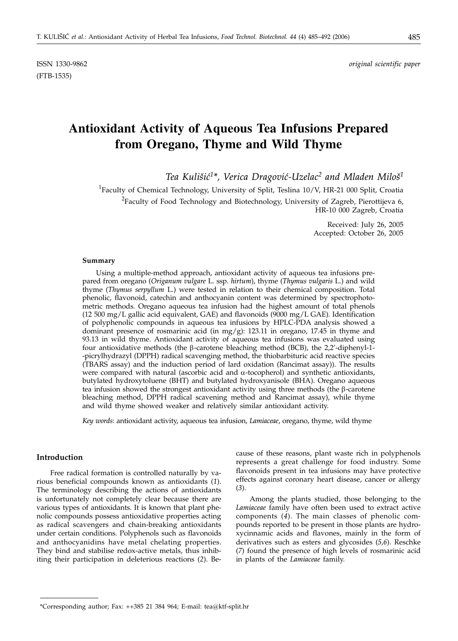# **Antioxidant Activity of Aqueous Tea Infusions Prepared from Oregano, Thyme and Wild Thyme**

Tea Kulišić<sup>1\*</sup>, Verica Dragović-Uzelac<sup>2</sup> and Mladen Miloš<sup>1</sup>

<sup>1</sup>Faculty of Chemical Technology, University of Split, Teslina 10/V, HR-21 000 Split, Croatia  $^{2}$ Faculty of Food Technology and Biotechnology, University of Zagreb, Pierottijeva 6, HR-10 000 Zagreb, Croatia

> Received: July 26, 2005 Accepted: October 26, 2005

#### **Summary**

Using a multiple-method approach, antioxidant activity of aqueous tea infusions prepared from oregano (*Origanum vulgare* L. ssp. *hirtum*), thyme (*Thymus vulgaris* L.) and wild thyme (*Thymus serpyllum* L.) were tested in relation to their chemical composition. Total phenolic, flavonoid, catechin and anthocyanin content was determined by spectrophotometric methods. Oregano aqueous tea infusion had the highest amount of total phenols  $(12\,500\,\text{mg/L}$  gallic acid equivalent, GAE) and flavonoids  $(9000\,\text{mg/L}$  GAE). Identification of polyphenolic compounds in aqueous tea infusions by HPLC-PDA analysis showed a dominant presence of rosmarinic acid (in mg/g): 123.11 in oregano, 17.45 in thyme and 93.13 in wild thyme. Antioxidant activity of aqueous tea infusions was evaluated using four antioxidative methods (the  $\beta$ -carotene bleaching method (BCB), the 2,2'-diphenyl-1--picrylhydrazyl (DPPH) radical scavenging method, the thiobarbituric acid reactive species (TBARS assay) and the induction period of lard oxidation (Rancimat assay)). The results were compared with natural (ascorbic acid and  $\alpha$ -tocopherol) and synthetic antioxidants, butylated hydroxytoluene (BHT) and butylated hydroxyanisole (BHA). Oregano aqueous tea infusion showed the strongest antioxidant activity using three methods (the  $\beta$ -carotene bleaching method, DPPH radical scavening method and Rancimat assay), while thyme and wild thyme showed weaker and relatively similar antioxidant activity.

*Key words*: antioxidant activity, aqueous tea infusion, *Lamiaceae*, oregano, thyme, wild thyme

### **Introduction**

Free radical formation is controlled naturally by various beneficial compounds known as antioxidants (*1*). The terminology describing the actions of antioxidants is unfortunately not completely clear because there are various types of antioxidants. It is known that plant phenolic compounds possess antioxidative properties acting as radical scavengers and chain-breaking antioxidants under certain conditions. Polyphenols such as flavonoids and anthocyanidins have metal chelating properties. They bind and stabilise redox-active metals, thus inhibiting their participation in deleterious reactions (*2*). Because of these reasons, plant waste rich in polyphenols represents a great challenge for food industry. Some flavonoids present in tea infusions may have protective effects against coronary heart disease, cancer or allergy (*3*).

Among the plants studied, those belonging to the *Lamiaceae* family have often been used to extract active components (*4*). The main classes of phenolic compounds reported to be present in those plants are hydroxycinnamic acids and flavones, mainly in the form of derivatives such as esters and glycosides (*5,6*). Reschke (*7*) found the presence of high levels of rosmarinic acid in plants of the *Lamiaceae* family.

<sup>\*</sup>Corresponding author; Fax: ++385 21 384 964; E-mail: tea*@*ktf-split.hr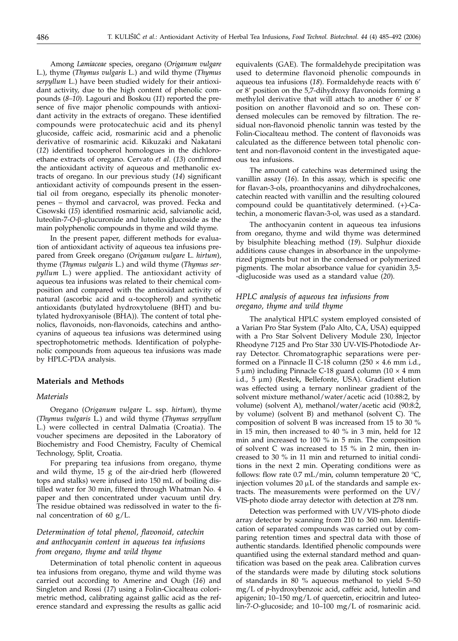Among *Lamiaceae* species, oregano (*Origanum vulgare* L.), thyme (*Thymus vulgaris* L.) and wild thyme (*Thymus serpyllum* L.) have been studied widely for their antioxidant activity, due to the high content of phenolic compounds (*8–10*). Lagouri and Boskou (*11*) reported the presence of five major phenolic compounds with antioxidant activity in the extracts of oregano. These identified compounds were protocatechuic acid and its phenyl glucoside, caffeic acid, rosmarinic acid and a phenolic derivative of rosmarinic acid. Kikuzaki and Nakatani (*12*) identified tocopherol homologues in the dichloroethane extracts of oregano. Cervato *et al*. (*13*) confirmed the antioxidant activity of aqueous and methanolic extracts of oregano. In our previous study (*14*) significant antioxidant activity of compounds present in the essential oil from oregano, especially its phenolic monoterpenes – thymol and carvacrol, was proved. Fecka and Cisowski (*15*) identified rosmarinic acid, salvianolic acid, luteolin-7-*O*-b-glucuronide and luteolin glucoside as the main polyphenolic compounds in thyme and wild thyme.

In the present paper, different methods for evaluation of antioxidant activity of aqueous tea infusions prepared from Greek oregano (*Origanum vulgare* L. *hirtum*), thyme (*Thymus vulgaris* L.) and wild thyme (*Thymus serpyllum* L.) were applied. The antioxidant activity of aqueous tea infusions was related to their chemical composition and compared with the antioxidant activity of natural (ascorbic acid and  $\alpha$ -tocopherol) and synthetic antioxidants (butylated hydroxytoluene (BHT) and butylated hydroxyanisole (BHA)). The content of total phenolics, flavonoids, non-flavonoids, catechins and anthocyanins of aqueous tea infusions was determined using spectrophotometric methods. Identification of polyphenolic compounds from aqueous tea infusions was made by HPLC-PDA analysis.

## **Materials and Methods**

#### *Materials*

Oregano (*Origanum vulgare* L. ssp. *hirtum*), thyme (*Thymus vulgaris* L.) and wild thyme (*Thymus serpyllum* L.) were collected in central Dalmatia (Croatia). The voucher specimens are deposited in the Laboratory of Biochemistry and Food Chemistry, Faculty of Chemical Technology, Split, Croatia.

For preparing tea infusions from oregano, thyme and wild thyme, 15 g of the air-dried herb (flowered tops and stalks) were infused into 150 mL of boiling distilled water for 30 min, filtered through Whatman No. 4 paper and then concentrated under vacuum until dry. The residue obtained was redissolved in water to the final concentration of 60  $g/L$ .

# *Determination of total phenol, flavonoid, catechin and anthocyanin content in aqueous tea infusions from oregano, thyme and wild thyme*

Determination of total phenolic content in aqueous tea infusions from oregano, thyme and wild thyme was carried out according to Amerine and Ough (*16*) and Singleton and Rossi (*17*) using a Folin-Ciocalteau colorimetric method, calibrating against gallic acid as the reference standard and expressing the results as gallic acid

equivalents (GAE). The formaldehyde precipitation was used to determine flavonoid phenolic compounds in aqueous tea infusions (*18*). Formaldehyde reacts with 6' or 8' position on the 5,7-dihydroxy flavonoids forming a methylol derivative that will attach to another 6' or 8' position on another flavonoid and so on. These condensed molecules can be removed by filtration. The residual non-flavonoid phenolic tannin was tested by the Folin-Ciocalteau method. The content of flavonoids was calculated as the difference between total phenolic content and non-flavonoid content in the investigated aqueous tea infusions.

The amount of catechins was determined using the vanillin assay (*16*). In this assay, which is specific one for flavan-3-ols, proanthocyanins and dihydrochalcones, catechin reacted with vanillin and the resulting coloured compound could be quantitatively determined. (+)-Catechin, a monomeric flavan-3-ol, was used as a standard.

The anthocyanin content in aqueous tea infusions from oregano, thyme and wild thyme was determined by bisulphite bleaching method (*19*). Sulphur dioxide additions cause changes in absorbance in the unpolymerized pigments but not in the condensed or polymerized pigments. The molar absorbance value for cyanidin 3,5- -diglucoside was used as a standard value (*20*).

# *HPLC analysis of aqueous tea infusions from oregano, thyme and wild thyme*

The analytical HPLC system employed consisted of a Varian Pro Star System (Palo Alto, CA, USA) equipped with a Pro Star Solvent Delivery Module 230, Injector Rheodyne 7125 and Pro Star 330 UV-VIS-Photodiode Array Detector. Chromatographic separations were performed on a Pinnacle II C-18 column (250 × 4.6 mm i.d.,  $5 \mu m$ ) including Pinnacle C-18 guard column (10  $\times$  4 mm i.d.,  $5 \mu m$ ) (Restek, Bellefonte, USA). Gradient elution was effected using a ternary nonlinear gradient of the solvent mixture methanol/water/acetic acid (10:88:2, by volume) (solvent A), methanol/water/acetic acid (90:8:2, by volume) (solvent B) and methanol (solvent C). The composition of solvent B was increased from 15 to 30 % in 15 min, then increased to 40 % in 3 min, held for 12 min and increased to 100 % in 5 min. The composition of solvent C was increased to 15 % in 2 min, then increased to 30 % in 11 min and returned to initial conditions in the next 2 min. Operating conditions were as follows: flow rate  $0.7$  mL/min, column temperature  $20$  °C, injection volumes  $20 \mu L$  of the standards and sample extracts. The measurements were performed on the UV/ VIS-photo diode array detector with detection at 278 nm.

Detection was performed with UV/VIS-photo diode array detector by scanning from 210 to 360 nm. Identification of separated compounds was carried out by comparing retention times and spectral data with those of authentic standards. Identified phenolic compounds were quantified using the external standard method and quantification was based on the peak area. Calibration curves of the standards were made by diluting stock solutions of standards in 80 % aqueous methanol to yield 5–50 mg/L of *p*-hydroxybenzoic acid, caffeic acid, luteolin and apigenin; 10–150 mg/L of quercetin, eriocitrin and luteolin-7-*O*-glucoside; and 10–100 mg/L of rosmarinic acid.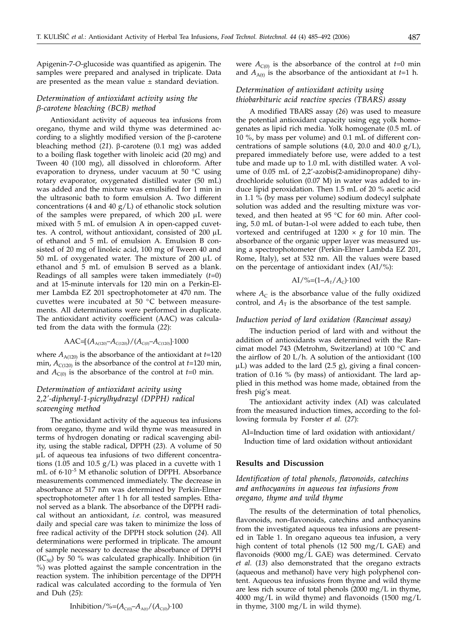Apigenin-7-*O*-glucoside was quantified as apigenin. The samples were prepared and analysed in triplicate. Data are presented as the mean value  $\pm$  standard deviation.

# *Determination of antioxidant activity using the b-carotene bleaching (BCB) method*

Antioxidant activity of aqueous tea infusions from oregano, thyme and wild thyme was determined according to a slightly modified version of the  $\beta$ -carotene bleaching method  $(21)$ .  $\beta$ -carotene  $(0.1 \text{ mg})$  was added to a boiling flask together with linoleic acid (20 mg) and Tween 40 (100 mg), all dissolved in chloroform. After evaporation to dryness, under vacuum at 50 °C using rotary evaporator, oxygenated distilled water (50 mL) was added and the mixture was emulsified for 1 min in the ultrasonic bath to form emulsion A. Two different concentrations (4 and 40  $g/L$ ) of ethanolic stock solution of the samples were prepared, of which  $200 \mu L$  were mixed with 5 mL of emulsion A in open-capped cuvettes. A control, without antioxidant, consisted of 200 mL of ethanol and 5 mL of emulsion A. Emulsion B consisted of 20 mg of linoleic acid, 100 mg of Tween 40 and 50 mL of oxygenated water. The mixture of 200  $\mu$ L of ethanol and 5 mL of emulsion B served as a blank. Readings of all samples were taken immediately (*t*=0) and at 15-minute intervals for 120 min on a Perkin-Elmer Lambda EZ 201 spectrophotometer at 470 nm. The cuvettes were incubated at 50 °C between measurements. All determinations were performed in duplicate. The antioxidant activity coefficient (AAC) was calculated from the data with the formula (*22*):

$$
AAC=[(A_{A(120)}-A_{C(120)})/(A_{C(0)}-A_{C(120)}]\cdot 1000
$$

where  $A_{A(120)}$  is the absorbance of the antioxidant at  $t=120$ min,  $A_{C(120)}$  is the absorbance of the control at  $t=120$  min, and  $A_{C(0)}$  is the absorbance of the control at  $t=0$  min.

# *Determination of antioxidant acivity using 2,2'-diphenyl-1-picrylhydrazyl (DPPH) radical scavenging method*

The antioxidant activity of the aqueous tea infusions from oregano, thyme and wild thyme was measured in terms of hydrogen donating or radical scavenging ability, using the stable radical, DPPH (*23*). A volume of 50  $\mu$ L of aqueous tea infusions of two different concentrations (1.05 and 10.5  $g/L$ ) was placed in a cuvette with 1 mL of 6·10–5 M ethanolic solution of DPPH. Absorbance measurements commenced immediately. The decrease in absorbance at 517 nm was determined by Perkin-Elmer spectrophotometer after 1 h for all tested samples. Ethanol served as a blank. The absorbance of the DPPH radical without an antioxidant, *i.e.* control, was measured daily and special care was taken to minimize the loss of free radical activity of the DPPH stock solution (*24*). All determinations were performed in triplicate. The amount of sample necessary to decrease the absorbance of DPPH  $(IC_{50})$  by 50 % was calculated graphically. Inhibition (in %) was plotted against the sample concentration in the reaction system. The inhibition percentage of the DPPH radical was calculated according to the formula of Yen and Duh (*25*):

Inhibition/%=( $A_{C(0)}-A_{A(t)}/(A_{C(0)})$ ·100

were  $A_{C(0)}$  is the absorbance of the control at  $t=0$  min and  $A_{A(t)}$  is the absorbance of the antioxidant at  $t=1$  h.

# *Determination of antioxidant activity using thiobarbituric acid reactive species (TBARS) assay*

A modified TBARS assay (*26*) was used to measure the potential antioxidant capacity using egg yolk homogenates as lipid rich media. Yolk homogenate (0.5 mL of 10 %, by mass per volume) and 0.1 mL of different concentrations of sample solutions (4.0, 20.0 and 40.0  $g/L$ ), prepared immediately before use, were added to a test tube and made up to 1.0 mL with distilled water. A volume of 0.05 mL of 2,2'-azobis(2-amidinopropane) dihydrochloride solution (0.07 M) in water was added to induce lipid peroxidation. Then 1.5 mL of 20 % acetic acid in 1.1 % (by mass per volume) sodium dodecyl sulphate solution was added and the resulting mixture was vortexed, and then heated at 95 °C for 60 min. After cooling, 5.0 mL of butan-1-ol were added to each tube, then vortexed and centrifuged at  $1200 \times g$  for 10 min. The absorbance of the organic upper layer was measured using a spectrophotometer (Perkin-Elmer Lambda EZ 201, Rome, Italy), set at 532 nm. All the values were based on the percentage of antioxidant index (AI/%):

$$
AI/\%=(1-A_{\rm T}/A_{\rm C})\cdot 100
$$

where  $A_C$  is the absorbance value of the fully oxidized control, and  $A_T$  is the absorbance of the test sample.

#### *Induction period of lard oxidation (Rancimat assay)*

The induction period of lard with and without the addition of antioxidants was determined with the Rancimat model 743 (Metrohm, Switzerland) at 100 °C and the airflow of 20 L/h. A solution of the antioxidant (100  $\mu$ L) was added to the lard (2.5 g), giving a final concentration of 0.16 % (by mass) of antioxidant*.* The lard applied in this method was home made, obtained from the fresh pig's meat.

The antioxidant activity index (AI) was calculated from the measured induction times, according to the following formula by Forster *et al.* (*27*):

AI=Induction time of lard oxidation with antioxidant/ Induction time of lard oxidation without antioxidant

### **Results and Discussion**

# *Identification of total phenols, flavonoids, catechins and anthocyanins in aqueous tea infusions from oregano, thyme and wild thyme*

The results of the determination of total phenolics, flavonoids, non-flavonoids, catechins and anthocyanins from the investigated aqueous tea infusions are presented in Table 1. In oregano aqueous tea infusion, a very high content of total phenols (12 500 mg/L GAE) and flavonoids (9000 mg/L GAE) was determined. Cervato *et al.* (*13*) also demonstrated that the oregano extracts (aqueous and methanol) have very high polyphenol content. Aqueous tea infusions from thyme and wild thyme are less rich source of total phenols (2000 mg/L in thyme, 4000 mg/L in wild thyme) and flavonoids (1500 mg/L in thyme, 3100 mg/L in wild thyme).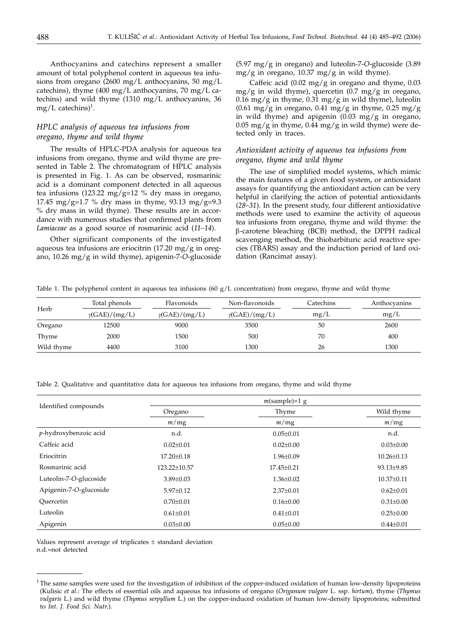Anthocyanins and catechins represent a smaller amount of total polyphenol content in aqueous tea infusions from oregano (2600 mg/L anthocyanins, 50 mg/L catechins), thyme (400 mg/L anthocyanins, 70 mg/L catechins) and wild thyme (1310 mg/L anthocyanins, 36  $mg/L$  catechins)<sup>1</sup>.

# *HPLC analysis of aqueous tea infusions from oregano, thyme and wild thyme*

The results of HPLC-PDA analysis for aqueous tea infusions from oregano, thyme and wild thyme are presented in Table 2. The chromatogram of HPLC analysis is presented in Fig. 1. As can be observed, rosmarinic acid is a dominant component detected in all aqueous tea infusions (123.22 mg/g=12 % dry mass in oregano, 17.45 mg/g=1.7 % dry mass in thyme, 93.13 mg/g=9.3 % dry mass in wild thyme). These results are in accordance with numerous studies that confirmed plants from *Lamiaceae* as a good source of rosmarinic acid (*11–14*).

Other significant components of the investigated aqueous tea infusions are eriocitrin (17.20 mg/g in oregano, 10.26 mg/g in wild thyme), apigenin-7-*O*-glucoside (5.97 mg/g in oregano) and luteolin-7-*O*-glucoside (3.89 mg/g in oregano, 10.37 mg/g in wild thyme).

Caffeic acid  $(0.02 \text{ mg/g} \text{ in oregano and thyme}, 0.03)$  $mg/g$  in wild thyme), quercetin  $(0.7 \text{ mg/g} \text{ in} \text{ or} \text{egano})$ 0.16 mg/g in thyme, 0.31 mg/g in wild thyme), luteolin  $(0.61 \text{ mg/g in oregano}, 0.41 \text{ mg/g in thyme}, 0.25 \text{ mg/g})$ in wild thyme) and apigenin  $(0.03 \text{ mg/g} \text{ in} \text{ or} \text{egano})$  $0.05 \text{ mg/g}$  in thyme,  $0.44 \text{ mg/g}$  in wild thyme) were detected only in traces.

### *Antioxidant activity of aqueous tea infusions from oregano, thyme and wild thyme*

The use of simplified model systems, which mimic the main features of a given food system, or antioxidant assays for quantifying the antioxidant action can be very helpful in clarifying the action of potential antioxidants (*28–31*). In the present study, four different antioxidative methods were used to examine the activity of aqueous tea infusions from oregano, thyme and wild thyme: the b-carotene bleaching (BCB) method, the DPPH radical scavenging method, the thiobarbituric acid reactive species (TBARS) assay and the induction period of lard oxidation (Rancimat assay).

Table 1. The polyphenol content in aqueous tea infusions (60  $g/L$  concentration) from oregano, thyme and wild thyme

| Herb       | Total phenols        | Flavonoids           | Non-flavonoids       | Catechins | Anthocyanins |
|------------|----------------------|----------------------|----------------------|-----------|--------------|
|            | $\gamma(GAE)/(mg/L)$ | $\gamma(GAE)/(mg/L)$ | $\gamma(GAE)/(mg/L)$ | mg/L      | mg/L         |
| Oregano    | 12500                | 9000                 | 3500                 | 50        | 2600         |
| Thyme      | 2000                 | 1500                 | 500                  | 70        | 400          |
| Wild thyme | 4400                 | 3100                 | 1300                 | 26        | 1300         |

Table 2. Qualitative and quantitative data for aqueous tea infusions from oregano, thyme and wild thyme

| Identified compounds   | $m$ (sample)=1 g |                  |                  |  |  |  |
|------------------------|------------------|------------------|------------------|--|--|--|
|                        | Oregano          | Thyme            | Wild thyme       |  |  |  |
|                        | m/mg             | m/mg             | m/mg             |  |  |  |
| p-hydroxybenzoic acid  | n.d.             | $0.05 \pm 0.01$  | n.d.             |  |  |  |
| Caffeic acid           | $0.02 + 0.01$    | $0.02 \pm 0.00$  | $0.03 \pm 0.00$  |  |  |  |
| Eriocitrin             | $17.20 \pm 0.18$ | $1.96 \pm 0.09$  | $10.26 \pm 0.13$ |  |  |  |
| Rosmarinic acid        | 123.22±10.57     | $17.45 \pm 0.21$ | 93.13±9.85       |  |  |  |
| Luteolin-7-O-glucoside | $3.89 \pm 0.03$  | $1.36 \pm 0.02$  | $10.37 \pm 0.11$ |  |  |  |
| Apigenin-7-O-glucoside | $5.97+0.12$      | $2.37 \pm 0.01$  | $0.62 \pm 0.01$  |  |  |  |
| Ouercetin              | $0.70 \pm 0.01$  | $0.16 \pm 0.00$  | $0.31 \pm 0.00$  |  |  |  |
| Luteolin               | $0.61 \pm 0.01$  | $0.41 \pm 0.01$  | $0.25 \pm 0.00$  |  |  |  |
| Apigenin               | $0.03 \pm 0.00$  | $0.05 \pm 0.00$  | $0.44 \pm 0.01$  |  |  |  |

Values represent average of triplicates  $\pm$  standard deviation n.d.=not detected

 $1$ The same samples were used for the investigation of inhibition of the copper-induced oxidation of human low-density lipoproteins (Kulisic *et al.*: The effects of essential oils and aqueous tea infusions of oregano (*Origanum vulgare* L. ssp. *hirtum*), thyme (*Thymus vulgaris* L.) and wild thyme (*Thymus serpyllum* L.) on the copper-induced oxidation of human low-density lipoproteins; submitted to *Int. J. Food Sci. Nutr*.).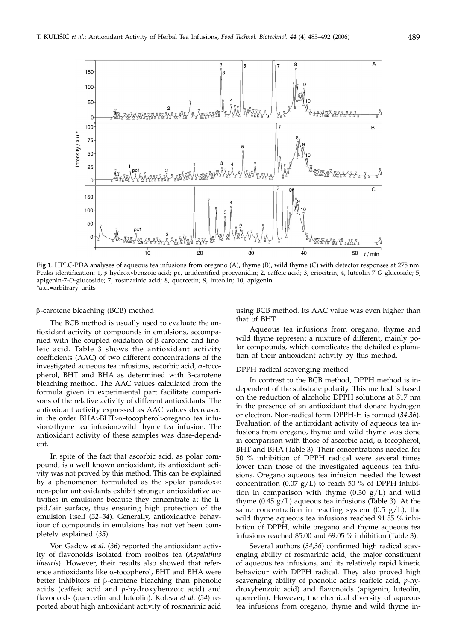

**Fig 1**. HPLC-PDA analyses of aqueous tea infusions from oregano (A), thyme (B), wild thyme (C) with detector responses at 278 nm. Peaks identification: 1, *p*-hydroxybenzoic acid; pc, unidentified procyanidin; 2, caffeic acid; 3, eriocitrin; 4, luteolin-7-*O*-glucoside; 5, apigenin-7-*O*-glucoside; 7, rosmarinic acid; 8, quercetin; 9, luteolin; 10, apigenin \*a.u.=arbitrary units

#### b-carotene bleaching (BCB) method

The BCB method is usually used to evaluate the antioxidant activity of compounds in emulsions, accompanied with the coupled oxidation of  $\beta$ -carotene and linoleic acid. Table 3 shows the antioxidant activity coefficients (AAC) of two different concentrations of the investigated aqueous tea infusions, ascorbic acid,  $\alpha$ -tocopherol, BHT and BHA as determined with  $\beta$ -carotene bleaching method. The AAC values calculated from the formula given in experimental part facilitate comparisons of the relative activity of different antioxidants. The antioxidant activity expressed as AAC values decreased in the order BHA>BHT>a-tocopherol>oregano tea infusion>thyme tea infusion>wild thyme tea infusion. The antioxidant activity of these samples was dose-dependent.

In spite of the fact that ascorbic acid, as polar compound, is a well known antioxidant, its antioxidant activity was not proved by this method. This can be explained by a phenomenon formulated as the »polar paradox«: non-polar antioxidants exhibit stronger antioxidative activities in emulsions because they concentrate at the lipid/air surface, thus ensuring high protection of the emulsion itself (*32–34*). Generally, antioxidative behaviour of compounds in emulsions has not yet been completely explained (*35*).

Von Gadow *et al.* (*36*) reported the antioxidant activity of flavonoids isolated from rooibos tea (*Aspalathus linearis*). However, their results also showed that reference antioxidants like  $\alpha$ -tocopherol, BHT and BHA were better inhibitors of  $\beta$ -carotene bleaching than phenolic acids (caffeic acid and *p*-hydroxybenzoic acid) and flavonoids (quercetin and luteolin). Koleva *et al.* (*34*) reported about high antioxidant activity of rosmarinic acid using BCB method. Its AAC value was even higher than that of BHT.

Aqueous tea infusions from oregano, thyme and wild thyme represent a mixture of different, mainly polar compounds, which complicates the detailed explanation of their antioxidant activity by this method.

#### DPPH radical scavenging method

In contrast to the BCB method, DPPH method is independent of the substrate polarity. This method is based on the reduction of alcoholic DPPH solutions at 517 nm in the presence of an antioxidant that donate hydrogen or electron. Non-radical form DPPH-H is formed (*34,36*). Evaluation of the antioxidant activity of aqueous tea infusions from oregano, thyme and wild thyme was done in comparison with those of ascorbic acid,  $\alpha$ -tocopherol, BHT and BHA (Table 3). Their concentrations needed for 50 % inhibition of DPPH radical were several times lower than those of the investigated aqueous tea infusions. Oregano aqueous tea infusion needed the lowest concentration (0.07  $g/L$ ) to reach 50 % of DPPH inhibition in comparison with thyme  $(0.30 \text{ g/L})$  and wild thyme  $(0.45 \text{ g/L})$  aqueous tea infusions (Table 3). At the same concentration in reacting system  $(0.5 \text{ g/L})$ , the wild thyme aqueous tea infusions reached 91.55 % inhibition of DPPH, while oregano and thyme aqueous tea infusions reached 85.00 and 69.05 % inhibition (Table 3).

Several authors (*34,36*) confirmed high radical scavenging ability of rosmarinic acid, the major constituent of aqueous tea infusions, and its relatively rapid kinetic behaviour with DPPH radical. They also proved high scavenging ability of phenolic acids (caffeic acid, *p*-hydroxybenzoic acid) and flavonoids (apigenin, luteolin, quercetin). However, the chemical diversity of aqueous tea infusions from oregano, thyme and wild thyme in-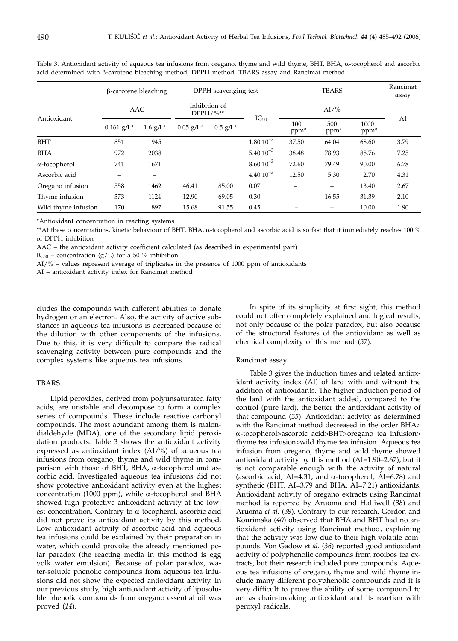|                      | $\beta$ -carotene bleaching |                        | DPPH scavenging test         |                        |                      | <b>TBARS</b>            |                         |                          | Rancimat<br>assay |
|----------------------|-----------------------------|------------------------|------------------------------|------------------------|----------------------|-------------------------|-------------------------|--------------------------|-------------------|
|                      | AAC                         |                        | Inhibition of<br>$DPPH/$ %** |                        |                      | $AI\%$                  |                         |                          |                   |
| Antioxidant          | $0.161$ g/L <sup>*</sup>    | $1.6$ g/L <sup>*</sup> | $0.05$ g/L <sup>*</sup>      | $0.5$ g/L <sup>*</sup> | $IC_{50}$            | 100<br>ppm <sup>*</sup> | 500<br>ppm <sup>*</sup> | 1000<br>ppm <sup>*</sup> | AI                |
| <b>BHT</b>           | 851                         | 1945                   |                              |                        | $1.80 \cdot 10^{-2}$ | 37.50                   | 64.04                   | 68.60                    | 3.79              |
| <b>BHA</b>           | 972                         | 2038                   |                              |                        | $5.40 \cdot 10^{-3}$ | 38.48                   | 78.93                   | 88.76                    | 7.25              |
| $\alpha$ -tocopherol | 741                         | 1671                   |                              |                        | $8.60 \cdot 10^{-3}$ | 72.60                   | 79.49                   | 90.00                    | 6.78              |
| Ascorbic acid        |                             |                        |                              |                        | $4.40 \cdot 10^{-3}$ | 12.50                   | 5.30                    | 2.70                     | 4.31              |
| Oregano infusion     | 558                         | 1462                   | 46.41                        | 85.00                  | 0.07                 |                         | -                       | 13.40                    | 2.67              |
| Thyme infusion       | 373                         | 1124                   | 12.90                        | 69.05                  | 0.30                 |                         | 16.55                   | 31.39                    | 2.10              |
| Wild thyme infusion  | 170                         | 897                    | 15.68                        | 91.55                  | 0.45                 |                         |                         | 10.00                    | 1.90              |

Table 3. Antioxidant activity of aqueous tea infusions from oregano, thyme and wild thyme, BHT, BHA,  $\alpha$ -tocopherol and ascorbic acid determined with  $\beta$ -carotene bleaching method, DPPH method, TBARS assay and Rancimat method

\*Antioxidant concentration in reacting systems

\*\*At these concentrations, kinetic behaviour of BHT, BHA,  $\alpha$ -tocopherol and ascorbic acid is so fast that it immediately reaches 100 % of DPPH inhibition

AAC – the antioxidant activity coefficient calculated (as described in experimental part)

IC<sub>50</sub> – concentration (g/L) for a 50 % inhibition

AI/% – values represent average of triplicates in the presence of 1000 ppm of antioxidants

AI – antioxidant activity index for Rancimat method

cludes the compounds with different abilities to donate hydrogen or an electron. Also, the activity of active substances in aqueous tea infusions is decreased because of the dilution with other components of the infusions. Due to this, it is very difficult to compare the radical scavenging activity between pure compounds and the complex systems like aqueous tea infusions.

### TBARS

Lipid peroxides, derived from polyunsaturated fatty acids, are unstable and decompose to form a complex series of compounds. These include reactive carbonyl compounds. The most abundant among them is malondialdehyde (MDA), one of the secondary lipid peroxidation products. Table 3 shows the antioxidant activity expressed as antioxidant index (AI/%) of aqueous tea infusions from oregano, thyme and wild thyme in comparison with those of BHT, BHA,  $\alpha$ -tocopherol and ascorbic acid. Investigated aqueous tea infusions did not show protective antioxidant activity even at the highest concentration (1000 ppm), while  $\alpha$ -tocopherol and BHA showed high protective antioxidant activity at the lowest concentration. Contrary to  $\alpha$ -tocopherol, ascorbic acid did not prove its antioxidant activity by this method. Low antioxidant activity of ascorbic acid and aqueous tea infusions could be explained by their preparation in water, which could provoke the already mentioned polar paradox (the reacting media in this method is egg yolk water emulsion). Because of polar paradox, water-soluble phenolic compounds from aqueous tea infusions did not show the expected antioxidant activity. In our previous study, high antioxidant activity of liposoluble phenolic compounds from oregano essential oil was proved (*14*).

In spite of its simplicity at first sight, this method could not offer completely explained and logical results, not only because of the polar paradox, but also because of the structural features of the antioxidant as well as chemical complexity of this method (*37*).

#### Rancimat assay

Table 3 gives the induction times and related antioxidant activity index (AI) of lard with and without the addition of antioxidants. The higher induction period of the lard with the antioxidant added, compared to the control (pure lard), the better the antioxidant activity of that compound (*35*). Antioxidant activity as determined with the Rancimat method decreased in the order BHA> a-tocopherol>ascorbic acid>BHT>oregano tea infusion> thyme tea infusion>wild thyme tea infusion. Aqueous tea infusion from oregano, thyme and wild thyme showed antioxidant activity by this method (AI=1.90–2.67), but it is not comparable enough with the activity of natural (ascorbic acid, AI=4.31, and  $\alpha$ -tocopherol, AI=6.78) and synthetic (BHT, AI=3.79 and BHA, AI=7.21) antioxidants. Antioxidant activity of oregano extracts using Rancimat method is reported by Aruoma and Halliwell (*38*) and Aruoma *et al.* (*39*). Contrary to our research, Gordon and Kourimska (*40*) observed that BHA and BHT had no antioxidant activity using Rancimat method, explaining that the activity was low due to their high volatile compounds. Von Gadow *et al*. (*36*) reported good antioxidant activity of polyphenolic compounds from rooibos tea extracts, but their research included pure compounds. Aqueous tea infusions of oregano, thyme and wild thyme include many different polyphenolic compounds and it is very difficult to prove the ability of some compound to act as chain-breaking antioxidant and its reaction with peroxyl radicals.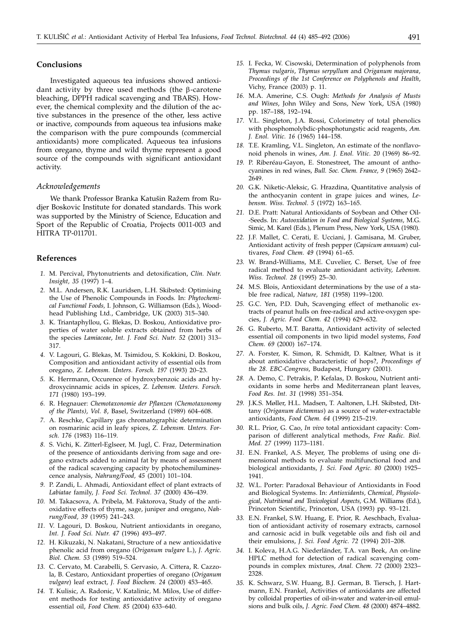### **Conclusions**

Investigated aqueous tea infusions showed antioxidant activity by three used methods (the  $\beta$ -carotene bleaching, DPPH radical scavenging and TBARS). However, the chemical complexity and the dilution of the active substances in the presence of the other, less active or inactive, compounds from aqueous tea infusions make the comparison with the pure compounds (commercial antioxidants) more complicated. Aqueous tea infusions from oregano, thyme and wild thyme represent a good source of the compounds with significant antioxidant activity.

### *Acknowledgements*

We thank Professor Branka Katušin Ražem from Rudjer Boskovic Institute for donated standards. This work was supported by the Ministry of Science, Education and Sport of the Republic of Croatia, Projects 0011-003 and HITRA TP-011701.

### **References**

- *1.* M. Percival, Phytonutrients and detoxification, *Clin. Nutr. Insight, 35* (1997) 1–4.
- *2.* M.L. Andersen, R.K. Lauridsen, L.H. Skibsted: Optimising the Use of Phenolic Compounds in Foods*.* In: *Phytochemical Functional Foods,* I. Johnson, G. Williamson (Eds.), Woodhead Publishing Ltd., Cambridge, UK (2003) 315–340.
- *3.* K. Triantaphyllou, G. Blekas, D. Boskou, Antioxidative properties of water soluble extracts obtained from herbs of the species *Lamiaceae*, *Int. J. Food Sci. Nutr. 52* (2001) 313– 317.
- *4.* V. Lagouri, G. Blekas, M. Tsimidou, S. Kokkini, D. Boskou, Composition and antioxidant activity of essential oils from oregano, *Z. Lebensm. Unters. Forsch. 197* (1993) 20–23.
- *5.* K. Herrmann, Occurence of hydroxybenzoic acids and hydroxycinnamic acids in spices, *Z. Lebensm. Unters. Forsch. 171* (1980) 193–199.
- *6.* R. Hegnauer: *Chemotaxonomie der Pflanzen (Chemotaxonomy of the Plants)*, *Vol. 8*, Basel, Switzerland (1989) 604–608.
- *7.* A. Reschke, Capillary gas chromatographic determination on rosmarinic acid in leafy spices, *Z. Lebensm. Unters. Forsch. 176* (1983) 116–119.
- *8.* S. Vichi, K. Zitterl-Eglseer, M. Jugl, C. Fraz, Determination of the presence of antioxidants deriving from sage and oregano extracts added to animal fat by means of assessment of the radical scavenging capacity by photochemiluminescence analysis, *Nahrung/Food, 45* (2001) 101–104.
- *9.* P. Zandi, L. Ahmadi, Antioxidant effect of plant extracts of *Labiatae* family, *J. Food Sci. Technol. 37* (2000) 436–439.
- *10.* M. Takacsova, A. Pribela, M. Faktorova, Study of the antioxidative effects of thyme, sage, juniper and oregano, *Nahrung/Food, 39* (1995) 241–243.
- *11.* V. Lagouri, D. Boskou, Nutrient antioxidants in oregano, *Int. J. Food Sci. Nutr. 47* (1996) 493–497.
- *12.* H. Kikuzaki, N. Nakatani, Structure of a new antioxidative phenolic acid from oregano (*Origanum vulgare* L.), *J. Agric. Biol. Chem. 53* (1989) 519–524.
- *13.* C. Cervato, M. Carabelli, S. Gervasio, A. Cittera, R. Cazzola, B. Cestaro, Antioxidant properties of oregano (*Origanum vulgare*) leaf extract, *J. Food Biochem. 24* (2000) 453–465.
- *14.* T. Kulisic, A. Radonic, V. Katalinic, M. Milos, Use of different methods for testing antioxidative activity of oregano essential oil, *Food Chem. 85* (2004) 633–640.
- *15.* I. Fecka, W. Cisowski, Determination of polyphenols from *Thymus vulgaris*, *Thymus serpyllum* and *Origanum majorana*, *Proceedings of the 1st Conference on Polyphenols and Health*, Vichy, France (2003) p. 11.
- *16.* M.A. Amerine, C.S. Ough: *Methods for Analysis of Musts and Wines*, John Wiley and Sons, New York, USA (1980) pp. 187–188, 192–194.
- *17.* V.L. Singleton, J.A. Rossi, Colorimetry of total phenolics with phosphomolybdic-phosphotungstic acid reagents, *Am. J. Enol. Vitic. 16* (1965) 144–158.
- *18.* T.E. Kramling, V.L. Singleton, An estimate of the nonflavonoid phenols in wines, *Am. J. Enol. Vitic. 20* (1969) 86–92.
- *19.* P. Riberéau-Gayon, E. Stonestreet, The amount of anthocyanines in red wines, *Bull. Soc. Chem. France, 9* (1965) 2642– 2649.
- *20.* G.K. Niketic-Aleksic, G. Hrazdina, Quantitative analysis of the anthocyanin content in grape juices and wines, *Lebensm. Wiss. Technol. 5* (1972) 163–165.
- *21.* D.E. Pratt: Natural Antioxidants of Soybean and Other Oil- -Seeds. In: *Autooxidation in Food and Biological Systems*, M.G. Simic, M. Karel (Eds.), Plenum Press, New York, USA (1980).
- *22.* J.F. Mallet, C. Cerati, E. Ucciani, J. Gamisana, M. Gruber, Antioxidant activity of fresh pepper (*Capsicum annuum*) cultivares, *Food Chem. 49* (1994) 61–65.
- *23.* W. Brand-Williams, M.E. Cuvelier, C. Berset, Use of free radical method to evaluate antioxidant activity, *Lebensm. Wiss. Technol. 28* (1995) 25–30.
- *24.* M.S. Blois, Antioxidant determinations by the use of a stable free radical, *Nature, 181* (1958) 1199–1200.
- *25.* G.C. Yen, P.D. Duh, Scavenging effect of methanolic extracts of peanut hulls on free-radical and active-oxygen species, *J. Agric. Food Chem. 42* (1994) 629–632.
- *26.* G. Ruberto, M.T. Baratta, Antioxidant activity of selected essential oil components in two lipid model systems, *Food Chem. 69* (2000) 167–174.
- *27.* A. Forster, K. Simon, R. Schmidt, D. Kaltner, What is it about antioxidative characteristic of hops?, *Proceedings of the 28. EBC-Congress*, Budapest, Hungary (2001).
- *28.* A. Demo, C. Petrakis, P. Kefalas, D. Boskou, Nutrient antioxidants in some herbs and Mediterranean plant leaves, *Food Res. Int. 31* (1998) 351–354.
- *29.* J.K.S. Møller, H.L. Madsen, T. Aaltonen, L.H. Skibsted, Dittany (*Origanum dictamnus*) as a source of water-extractable antioxidants, *Food Chem. 64* (1999) 215–219.
- *30.* R.L. Prior, G. Cao, *In vivo* total antioxidant capacity: Comparison of different analytical methods, *Free Radic. Biol. Med. 27* (1999) 1173–1181.
- *31.* E.N. Frankel, A.S. Meyer, The problems of using one dimensional methods to evaluate multifunctional food and biological antioxidants, *J. Sci. Food Agric. 80* (2000) 1925– 1941.
- *32.* W.L. Porter: Paradoxal Behaviour of Antioxidants in Food and Biological Systems. In: *Antioxidants, Chemical, Physiological, Nutritional and Toxicological Aspects*, G.M. Williams (Ed.), Princeton Scientific, Princeton, USA (1993) pp. 93–121.
- *33.* E.N. Frankel, S.W. Huang, E. Prior, R. Aeschbach, Evaluation of antioxidant activity of rosemary extracts, carnosol and carnosic acid in bulk vegetable oils and fish oil and their emulsions, *J. Sci. Food Agric. 72* (1994) 201–208.
- *34.* I. Koleva, H.A.G. Niederländer, T.A. van Beek, An on-line HPLC method for detection of radical scavenging compounds in complex mixtures, *Anal. Chem. 72* (2000) 2323– 2328.
- *35.* K. Schwarz, S.W. Huang, B.J. German, B. Tiersch, J. Hartmann, E.N. Frankel, Activities of antioxidants are affected by colloidal properties of oil-in-water and water-in-oil emulsions and bulk oils, *J. Agric. Food Chem. 48* (2000) 4874–4882.